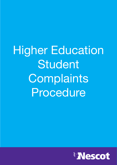Higher Education Student Complaints Procedure

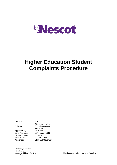

# **Higher Education Student Complaints Procedure**

| Version:           | 3.0                        |
|--------------------|----------------------------|
| Originator:        | Director of Higher         |
|                    | Education/Academic         |
|                    | Registrar                  |
| Approved by:       | <b>HE Board</b>            |
| Date Approved:     | 26th January 2022          |
| Review Interval:   | 3 Years                    |
| <b>Review Date</b> | January 2025               |
| Audience:          | <b>Staff and Governors</b> |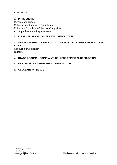# **CONTENTS**

## **1. INTRODUCTION**

Purpose and Scope Malicious and Fabricated Complaints Multi-issue Complaints Collective Complaints Accompaniment and Representation

# **2. INFORMAL STAGE: LOCAL LEVEL RESOLUTION**

#### **3. STAGE 1 FORMAL COMPLAINT: COLLEGE QUALITY OFFICE RESOLUTION**

**Submission** Conduct of Investigation **Outcome** 

#### **4. STAGE 2 FORMAL COMPLAINT: COLLEGE PRINCIPAL RESOLUTION**

#### **5. OFFICE OF THE INDEPENDENT ADJUDICATOR**

**6. GLOSSARY OF TERMS**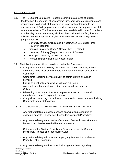#### Purpose and Scope

- 1.1. The HE Student Complaints Procedure constitutes a source of student feedback on the operation of services/facilities, application of procedures and inappropriate staff conduct. It provides an important contribution to the enhancement of College procedures and services, and the improvement of the student experience. The Procedure has been established in order for students to submit legitimate complaints, which will be considered in a fair, timely and efficient manner. It applies to Higher Education (HE) students registered on programmes with:
	- University of Greenwich (Stage 1 Nescot, then UoG under Final Review Procedure)
	- Kingston University (Stage 1 Nescot, then KU stage 2)
	- University of Surrey (Stage 1 Nescot, the UoS stage 2
	- The Open University (all Nescot stages)
	- Pearson Higher National (all Nescot stages)
- 1.2. The following areas will be considered under this Procedure:
	- Complaints about the delivery of courses and related services, if these are unable to be resolved by the relevant Staff and StudentConsultative Committee;
	- Complaints regarding service delivery of administrative or support services;
	- Failure to meet obligations including those outlined in course/student handbooks and other correspondence from the College;
	- Misleading or incorrect information in prospectuses or promotional materials and other College publications;
	- Complaints concerning discrimination, victimisation, harassment andbullying;
	- Complaints about staff conduct.

# 1.3. EXCLUSIONS FROM THE STUDENT COMPLAINTS PROCEDURE

- Any matter relating to assessment and examination procedures or academic appeals – please see the Academic Appeals Procedure;
- Any matter relating to the quality of academic feedback on work such issues should be discussed with the Course team;
- Outcomes of the Student Disciplinary Procedure see the Student Disciplinary Process and Procedures Guide;
- Any matter relating to intellectual property rights see the Intellectual Property Rights Procedure;
- Any matter relating to admissions (including complaints regarding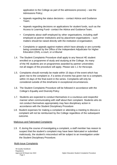application to the College as part of the admissions process) – see the Admissions Policy;

- Appeals regarding fee status decisions contact Advice and Guidance Team;
- Appeals regarding decisions on applications for student funds, such as the Access to Learning Fund– contact the Advice and Guidance Team;
- Complaints about staff employed by other organisations, including staff employed at partner institutions and by placement organisations – such matters should be raised directly with the institution ororganisation;
- Complaints or appeals against matters which have already or are currently being considered by the Office of the Independent Adjudicator for Higher Education (OIA), a court, or a tribunal
- 1.4. The Student Complaints Procedure shall apply to any Nescot HE student enrolled on a programme of study and studying at the College. As many of the HE students are on programmes awarded by partner universities not all stages of the procedure will apply. Please see 1.1 for thescope.
- 1.5. Complaints should normally be made within 15 days of the event which has given rise to the complaint or, if a series of events has given rise to a complaint, within 15 days of the final event in the series. Complaints will only be considered outside of this timeframe in exceptional circumstances.
- 1.6. The Student Complaints Procedure will be followed in accordance with the College's Equality and Diversity Policy
- 1.7. Students are expected to conduct themselves in a courteous and respectful manner when communicating with staff about their complaint. Students who do not conduct themselves appropriately may face disciplinary action in accordance with the Student Disciplinary Procedure
- 1.8. Student expenses for making a complaint or attending a meeting to discuss a complaint will not be reimbursed by the College regardless of the subsequent outcome.

#### Malicious and Fabricated Complaints

1.9. If, during the course of investigating a complaint, a staff member has reason to suspect that the student's complaint may have been fabricated or submitted maliciously, the student's misconduct will be subject to an investigation under the Student Disciplinary Procedure.

#### Multi-Issue Complaints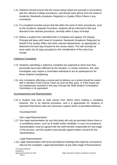- 1.10. Students should ensure that the issues being raised are pursued in accordance with the relevant College procedures, and should seek advice from the Head of Academic Standards (Academic Registrar) or Quality Office if there is any uncertainty.
- 1.11. If a complaint includes issues that fall within the remit of other procedures, such as the Academic Appeals Procedure, students will be informed of this and directed to the relevant procedure, normally within 5 days of receipt.
- 1.12. Where a student has submitted both a complaint and appeal, the Deputy Principal will liaise with Head of Academic Standards (Academic Registrar) on behalf of the Quality Office and other relevant departments, as appropriate, to determine the best way forward for the issues raised. This will normally be done within the 20 days provided for the consideration of the case from receipt.

#### Collective Complaints

- 1.13. Students submitting a collective complaint are expected to show how they personally have been affected by the situation. In certain instances, the case investigator may require a nominated individual to act as spokesperson for those students complaining.
- 1.14. Any complaints affecting a course and its delivery as a whole should be raised with a member of the Course Team as soon as they arise, or if the issues are not satisfactorily resolved in this way, through the Staff-Student Consultative Committee or its equivalent.

#### Accompaniment and Representation

1.15. A student may wish to seek advice from others when making a complaint however, this is an internal procedure, and it is appropriate for students to represent themselves with any necessary support which is permitted asfollows:

#### Accompaniment

Non Legal Representation

1.17. Non legal representation by any third party will only be permitted where there is a compelling reason, such as ill health and/or disability. In such circumstances, representation must be agreed with the staff member responsible for that stage of the process, and the student must provide signed written consent for the representation.

# Legal Representation

1.18. Legal representation will not be permitted at meetings that might be conveyed to discuss the complaint. Legal representation at any other stage of theprocedure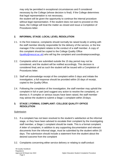may only be permitted in exceptional circumstances and if considered necessary by the College (whose decision is final). If the College determines that legal representation is not necessary,

the student will be given the opportunity to continue the internal procedure without legal representation. If the student does not want to proceed on this basis, the College will treat the matter as closed and issue a Completion of Procedures letter.

# **2. INFORMAL STAGE: LOCAL LEVEL RESOLUTION**

- 2.1. In the first instance, complaints should normally be raised locally in writing with the staff member directly responsible for the delivery of the service, or the line manager if the complaint relates to the conduct of a staff member. A copy of this complaint should be copied to the College Quality Office [\(quality@nescot.ac.uk\)](mailto:quality@nescot.ac.uk) who will log the complaint and coordinateproceedings.
- 2.2. Complaints which are submitted outside the 15 day period may not be considered, and the student will be notified accordingly. This decision is considered final, and as such the student will be issued with a Completion of Procedures letter.
- 2.3. Staff will acknowledge receipt of the complaint within 5 days and initiate the investigation, a full response should be provided within 20 days of receipt, copied to the Quality Office.
- 2.4. Following the completion of the investigation, the staff member may uphold the complaint in full or part (and suggest any action to resolve the complaint), or dismiss it. If complex or serious issues have been raised, the staff member may advise the student to submit a Stage 1 complaint within 20days.

## **3. STAGE 1 FORMAL COMPLAINT: COLLEGE QUALITY OFFICE RESOLUTION**

#### **Submission**

- 3.1. If a complaint has not been resolved to the student's satisfaction at the informal stage, or they have been advised to escalate their complaint by the investigating staff member, a Stage 1 complaint should be made. This is a formal complaint. A letter of complaint, in addition to any supporting documentation and relevant documents from the informal stage, must be submitted by the student within 20 days. The submission should include a statement from the student about the desired outcome from the complaint
- 3.2. Complaints concerning either service delivery or relating to staff conduct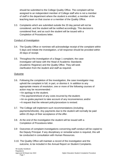should be submitted to the College Quality Office. The complaint will be assigned to an independent member of College staff who is not a member of staff in the department where the student is enrolled, a member of the teaching team on that course or a member of the Quality Office.

3.3. Complaints which are submitted outside the 20 day period will not be considered, and the student will be notified accordingly. This decisionis considered final, and as such the student will be issued with a Completion of Procedures letter.

#### Conduct of Investigation

- 3.4. The Quality Office or nominee will acknowledge receipt of the complaint within 5 days and initiate the investigation, a full response should be provided within 20 days of receipt.
- 3.5. Throughout the investigation of a Stage 1 complaint, the case investigator will liaise with the Head of Academic Standards (Academic Registrar) and the Quality Office. They will seek clarification from the student and staff as required.

## Outcome

- 3.6. Following the completion of the investigation, the case investigator may uphold the complaint in full, in part, or dismiss it. In addition to any appropriate means of resolution, one or more of the following courses of action may be recommended: -
	- •An apology to the student;
	- The payment/refund of any costs incurred by the student;
	- •An ex-gratia payment to take account of any inconvenience; and/or
	- •A request that the relevant policy/procedure is revised.
- 3.7. The College will implement such recommendations (including payments/refunds). Any payments due to the student will normally be paid within 20 days of their acceptance of the offer.
- 3.8. At the end of the investigation the student will be issued with a Completion of Procedures letter.
- 3.9 Outcomes of complaint investigations concerning staff conduct will be copied to the Deputy Principal. If any disciplinary or remedial action is required, this will be conducted in consultation with Human Resources.
- 3.10. The Quality Office will maintain a record of the investigation and the outcome, to be included in the Annual Report on Student Complaints.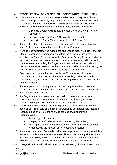# **4. STAGE 2 FORMAL COMPLAINT: COLLEGE PRINCIPAL RESOLUTION**

- 4.1 This stage applies to HE students registered on Pearson Higher National awards and Open University programmes. In the case of students registered on courses from one of the following universities, they should follow the awarding bodies procedure if the complaint is not resolved at stage 1:
	- University of Greenwich (Stage 1 Nescot, then UoG *Final Review Procedure*)
	- Kingston University (Stage 1 Nescot, then KU stage 2)
	- University of Surrey (Stage 1 Nescot, the UoS stage 2
- 4.2 If a complaint has not been resolved to the student's satisfaction at formal stage 1, they may escalate their complaint to thePrincipal.
- 4.3 A Stage 2 complaint may be made if the student has reason to believe that the Stage 1 response was unreasonable or that there was a failure in the investigation. Stage 2 is a review by the Principal or Deputy Principal and not a re-investigation of the original complaint. A letter of complaint, with supporting documentation – including the Stage 1 complaint, evidence, the student's desired outcome for resolution and outcome letter – should be submitted by the student within 20 days of the date of the Stage 1 outcome letter.
- 4.4 Complaints which are submitted outside the 20 day period will not be considered, and the student will be notified accordingly. This decision is considered final, and as such the student will be provided with a Completion of Procedures letter.
- 4.5 the Principal will acknowledge receipt of the complaint within 5 days and provide an anticipated time frame for a response (this will normally be no more than 20 days from receipt).
- 4.6 If a Stage 2 complaint reveals that the previous stage may have been unreasonable or that there was a failure in the investigation, and there is evidence to support this, further investigation may benecessary.
- 4.7 Following the completion of the investigation, the Principal may uphold the complaint in full, in part, or dismiss it. In addition to any appropriate means of resolution, one or more of the following courses of action may be recommended: -
	- An apology to the student;
	- The payment/refund of any costs incurred by the student;
	- An ex-gratia payment to take account of any inconvenience; and/or
	- A request that the relevant policy/procedure is revised.
- 4.8 If a student rejects an offer made or does not respond within the stipulated time frame, a Completion of Procedures letter will be issued, stating whether or not the College is willing to keep the offer open in the event that the complaint is referred to the Office of the Independent Adjudicator for consideration.
- 4.9 The Quality Office will maintain a record of the investigation and the outcome,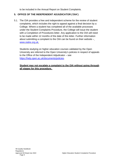to be included in the Annual Report on Student Complaints.

# **5. OFFICE OF THE INDEPENDENT ADJUDICATOR ('OIA')**

5.1. The OIA provides a free and independent scheme for the review of student complaints, which includes the right to appeal against a final decision by a College. Where a student has completed all of the available processes under the Student Complaints Procedure, the College will issue the student with a Completion of Procedures letter. Any application to the OIA will need to be made within 12 months of the date of this letter. Further information about submitting a complaint to the OIA can be found on their website [–](http://www.oiahe.org.uk/) [www.oiahe.org.uk.](http://www.oiahe.org.uk/)

Students studying on higher education courses validated by the Open University are referred to the Open University's policies in respect of appeals to the Office of the Independent Adjudicator – see [https://help.open.ac.uk/documents/policies.](https://help.open.ac.uk/documents/policies)

**Student may not escalate a complaint to the OIA without going through all stages for this procedure.**